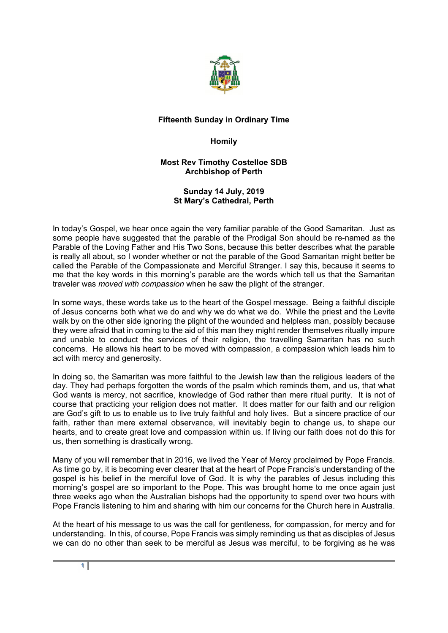

## **Fifteenth Sunday in Ordinary Time**

## **Homily**

## **Most Rev Timothy Costelloe SDB Archbishop of Perth**

## **Sunday 14 July, 2019 St Mary's Cathedral, Perth**

In today's Gospel, we hear once again the very familiar parable of the Good Samaritan. Just as some people have suggested that the parable of the Prodigal Son should be re-named as the Parable of the Loving Father and His Two Sons, because this better describes what the parable is really all about, so I wonder whether or not the parable of the Good Samaritan might better be called the Parable of the Compassionate and Merciful Stranger. I say this, because it seems to me that the key words in this morning's parable are the words which tell us that the Samaritan traveler was *moved with compassion* when he saw the plight of the stranger.

In some ways, these words take us to the heart of the Gospel message. Being a faithful disciple of Jesus concerns both what we do and why we do what we do. While the priest and the Levite walk by on the other side ignoring the plight of the wounded and helpless man, possibly because they were afraid that in coming to the aid of this man they might render themselves ritually impure and unable to conduct the services of their religion, the travelling Samaritan has no such concerns. He allows his heart to be moved with compassion, a compassion which leads him to act with mercy and generosity.

In doing so, the Samaritan was more faithful to the Jewish law than the religious leaders of the day. They had perhaps forgotten the words of the psalm which reminds them, and us, that what God wants is mercy, not sacrifice, knowledge of God rather than mere ritual purity. It is not of course that practicing your religion does not matter. It does matter for our faith and our religion are God's gift to us to enable us to live truly faithful and holy lives. But a sincere practice of our faith, rather than mere external observance, will inevitably begin to change us, to shape our hearts, and to create great love and compassion within us. If living our faith does not do this for us, then something is drastically wrong.

Many of you will remember that in 2016, we lived the Year of Mercy proclaimed by Pope Francis. As time go by, it is becoming ever clearer that at the heart of Pope Francis's understanding of the gospel is his belief in the merciful love of God. It is why the parables of Jesus including this morning's gospel are so important to the Pope. This was brought home to me once again just three weeks ago when the Australian bishops had the opportunity to spend over two hours with Pope Francis listening to him and sharing with him our concerns for the Church here in Australia.

At the heart of his message to us was the call for gentleness, for compassion, for mercy and for understanding. In this, of course, Pope Francis was simply reminding us that as disciples of Jesus we can do no other than seek to be merciful as Jesus was merciful, to be forgiving as he was